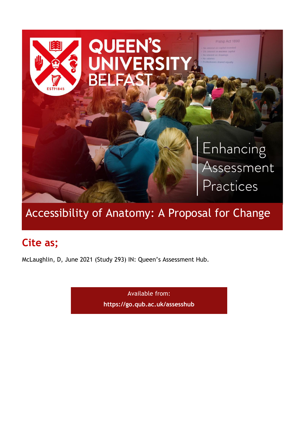

# Accessibility of Anatomy: A Proposal for Change

## **Cite as;**

McLaughlin, D, June 2021 (Study 293) IN: Queen's Assessment Hub.

Available from: **<https://go.qub.ac.uk/assesshub>**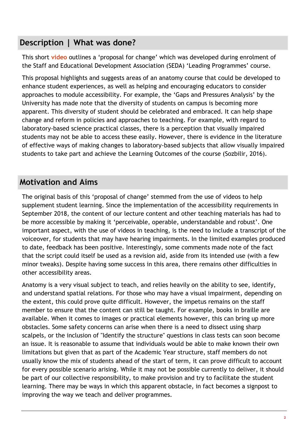#### **Description | What was done?**

This short **[video](https://mediasite.qub.ac.uk/Mediasite/Play/6a6142e755994767bda47317e21c98901d)** outlines a 'proposal for change' which was developed during enrolment of the Staff and Educational Development Association (SEDA) 'Leading Programmes' course.

This proposal highlights and suggests areas of an anatomy course that could be developed to enhance student experiences, as well as helping and encouraging educators to consider approaches to module accessibility. For example, the 'Gaps and Pressures Analysis' by the University has made note that the diversity of students on campus is becoming more apparent. This diversity of student should be celebrated and embraced. It can help shape change and reform in policies and approaches to teaching. For example, with regard to laboratory-based science practical classes, there is a perception that visually impaired students may not be able to access these easily. However, there is evidence in the literature of effective ways of making changes to laboratory-based subjects that allow visually impaired students to take part and achieve the Learning Outcomes of the course (Sozbilir, 2016).

### **Motivation and Aims**

The original basis of this 'proposal of change' stemmed from the use of videos to help supplement student learning. Since the implementation of the accessibility requirements in September 2018, the content of our lecture content and other teaching materials has had to be more accessible by making it 'perceivable, operable, understandable and robust'. One important aspect, with the use of videos in teaching, is the need to include a transcript of the voiceover, for students that may have hearing impairments. In the limited examples produced to date, feedback has been positive. Interestingly, some comments made note of the fact that the script could itself be used as a revision aid, aside from its intended use (with a few minor tweaks). Despite having some success in this area, there remains other difficulties in other accessibility areas.

Anatomy is a very visual subject to teach, and relies heavily on the ability to see, identify, and understand spatial relations. For those who may have a visual impairment, depending on the extent, this could prove quite difficult. However, the impetus remains on the staff member to ensure that the content can still be taught. For example, books in braille are available. When it comes to images or practical elements however, this can bring up more obstacles. Some safety concerns can arise when there is a need to dissect using sharp scalpels, or the inclusion of "Identify the structure" questions in class tests can soon become an issue. It is reasonable to assume that individuals would be able to make known their own limitations but given that as part of the Academic Year structure, staff members do not usually know the mix of students ahead of the start of term, it can prove difficult to account for every possible scenario arising. While it may not be possible currently to deliver, it should be part of our collective responsibility, to make provision and try to facilitate the student learning. There may be ways in which this apparent obstacle, in fact becomes a signpost to improving the way we teach and deliver programmes.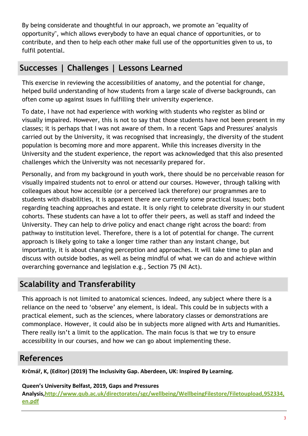By being considerate and thoughtful in our approach, we promote an "equality of opportunity", which allows everybody to have an equal chance of opportunities, or to contribute, and then to help each other make full use of the opportunities given to us, to fulfil potential.

#### **Successes | Challenges | Lessons Learned**

This exercise in reviewing the accessibilities of anatomy, and the potential for change, helped build understanding of how students from a large scale of diverse backgrounds, can often come up against issues in fulfilling their university experience.

To date, I have not had experience with working with students who register as blind or visually impaired. However, this is not to say that those students have not been present in my classes; it is perhaps that I was not aware of them. In a recent 'Gaps and Pressures' analysis carried out by the University, it was recognised that increasingly, the diversity of the student population is becoming more and more apparent. While this increases diversity in the University and the student experience, the report was acknowledged that this also presented challenges which the University was not necessarily prepared for.

Personally, and from my background in youth work, there should be no perceivable reason for visually impaired students not to enrol or attend our courses. However, through talking with colleagues about how accessible (or a perceived lack therefore) our programmes are to students with disabilities, it is apparent there are currently some practical issues; both regarding teaching approaches and estate. It is only right to celebrate diversity in our student cohorts. These students can have a lot to offer their peers, as well as staff and indeed the University. They can help to drive policy and enact change right across the board: from pathway to institution level. Therefore, there is a lot of potential for change. The current approach is likely going to take a longer time rather than any instant change, but importantly, it is about changing perception and approaches. It will take time to plan and discuss with outside bodies, as well as being mindful of what we can do and achieve within overarching governance and legislation e.g., Section 75 (NI Act).

## **Scalability and Transferability**

This approach is not limited to anatomical sciences. Indeed, any subject where there is a reliance on the need to 'observe' any element, is ideal. This could be in subjects with a practical element, such as the sciences, where laboratory classes or demonstrations are commonplace. However, it could also be in subjects more aligned with Arts and Humanities. There really isn't a limit to the application. The main focus is that we try to ensure accessibility in our courses, and how we can go about implementing these.

#### **References**

**Krčmář, K, (Editor) (2019) The Inclusivity Gap. Aberdeen, UK: Inspired By Learning.**

#### **Queen's University Belfast, 2019, Gaps and Pressures**

**Analysis[,http://www.qub.ac.uk/directorates/sgc/wellbeing/WellbeingFilestore/Filetoupload,952334,](http://www.qub.ac.uk/directorates/sgc/wellbeing/WellbeingFilestore/Filetoupload,952334,en.pdf) [en.pdf](http://www.qub.ac.uk/directorates/sgc/wellbeing/WellbeingFilestore/Filetoupload,952334,en.pdf)**